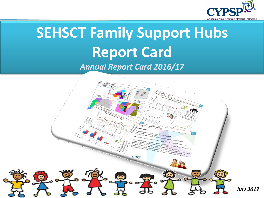

# **SEHSCT Family Support Hubs Report Card** *Annual Report Card 2016/17*

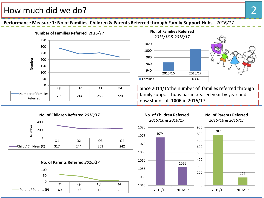#### How much did we do? 2

**Performance Measure 1: No of Families, Children & Parents Referred through Family Support Hubs -** *2016/17*

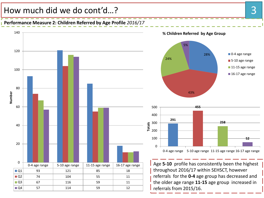#### How much did we do cont'd...? A state of the state of the state of the state of the state of the state of the state of the state of the state of the state of the state of the state of the state of the state of the state of

**Performance Measure 2: Children Referred by Age Profile** *2016/17*

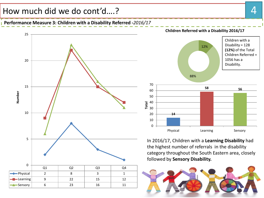### How much did we do cont'd....? A state of the state of the state of the state of the state of the state of the state of the state of the state of the state of the state of the state of the state of the state of the state o

**Performance Measure 3: Children with a Disability Referred -***2016/17*





In 2016/17, Children with a **Learning Disability** had the highest number of referrals in the disability category throughout the South Eastern area, closely followed by **Sensory Disability.**



#### **Children Referred with a Disability 2016/17**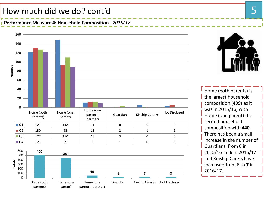# How much did we do? cont'd 5

**Performance Measure 4: Household Composition -** *2016/17*





Home (both parents) is the largest household composition (**499**) as it was in 2015/16, with Home (one parent) the second household composition with **440**. There has been a small increase in the number of Guardians from 0 in 2015/16 to **6** in 2016/17 and Kinship Carers have increased from 6 to **7** in 2016/17.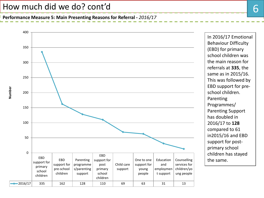#### How much did we do? cont'd

**Performance Measure 5: Main Presenting Reasons for Referral -** *2016/17*



In 2016/17 Emotional Behaviour Difficulty (EBD) for primary school children was the main reason for referrals at **335**, the same as in 2015/16. This was followed by EBD support for preschool children. Programmes/ Parenting Support has doubled in 2016/17 to **128** compared to 61 in2015/16 and EBD support for postprimary school children has stayed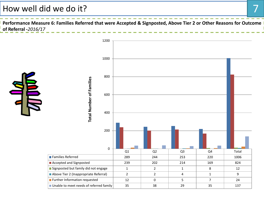### How well did we do it?

Performance Measure 6: Families Referred that were Accepted & Signposted, Above Tier 2 or Other Reasons for Outcome **of Referral -***2016/17*

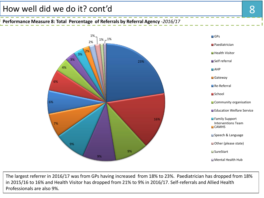**Performance Measure 8: Total Percentage of Referrals by Referral Agency** *-2016/17* 



The largest referrer in 2016/17 was from GPs having increased from 18% to 23%. Paediatrician has dropped from 18% in 2015/16 to 16% and Health Visitor has dropped from 21% to 9% in 2016/17. Self-referrals and Allied Health Professionals are also 9%.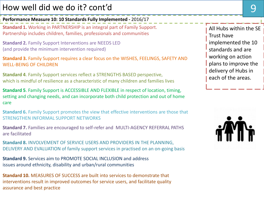# How well did we do it? cont'd

**Performance Measure 10: 10 Standards Fully Implemented** *-* 2016/17

**Standard 1.** Working in PARTNERSHIP is an integral part of Family Support. Partnership includes children, families, professionals and communities

**Standard 2.** Family Support Interventions are NEEDS LED (and provide the minimum intervention required)

**Standard 3.** Family Support requires a clear focus on the WISHES, FEELINGS, SAFETY AND WELL-BEING OF CHILDREN

**Standard 4**. Family Support services reflect a STRENGTHS BASED perspective, which is mindful of resilience as a characteristic of many children and families lives

**Standard 5**. Family Support is ACCESSIBLE AND FLEXIBLE in respect of location, timing, setting and changing needs, and can incorporate both child protection and out of home care

**Standard 6.** Family Support promotes the view that effective interventions are those that STRENGTHEN INFORMAL SUPPORT NETWORKS

**Standard 7.** Families are encouraged to self-refer and MULTI-AGENCY REFERRAL PATHS are facilitated

**Standard 8.** INVOLVEMENT OF SERVICE USERS AND PROVIDERS IN THE PLANNING, DELIVERY AND EVALUATION of family support services in practised on an on-going basis

**Standard 9.** Services aim to PROMOTE SOCIAL INCLUSION and address issues around ethnicity, disability and urban/rural communities

**Standard 10.** MEASURES OF SUCCESS are built into services to demonstrate that interventions result in improved outcomes for service users, and facilitate quality assurance and best practice

All Hubs within the SE Trust have implemented the 10 standards and are working on action plans to improve the delivery of Hubs in each of the areas.